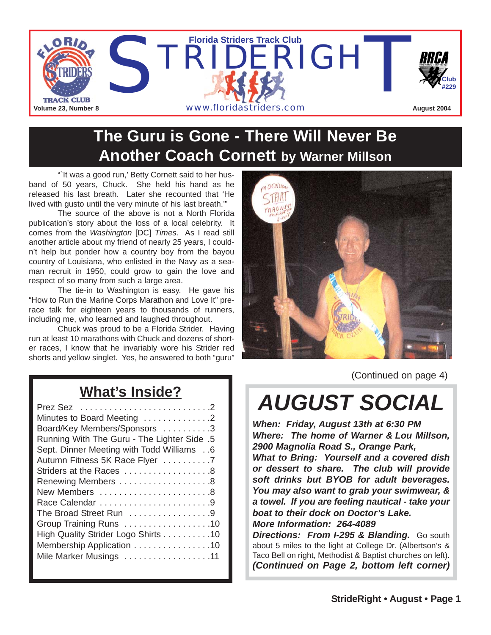

# **The Guru is Gone - There Will Never Be Another Coach Cornett by Warner Millson**

"It was a good run,' Betty Cornett said to her husband of 50 years, Chuck. She held his hand as he released his last breath. Later she recounted that 'He lived with gusto until the very minute of his last breath.'"

The source of the above is not a North Florida publication's story about the loss of a local celebrity. It comes from the *Washington* [DC] *Times*. As I read still another article about my friend of nearly 25 years, I couldn't help but ponder how a country boy from the bayou country of Louisiana, who enlisted in the Navy as a seaman recruit in 1950, could grow to gain the love and respect of so many from such a large area.

The tie-in to Washington is easy. He gave his "How to Run the Marine Corps Marathon and Love It" prerace talk for eighteen years to thousands of runners, including me, who learned and laughed throughout.

Chuck was proud to be a Florida Strider. Having run at least 10 marathons with Chuck and dozens of shorter races, I know that he invariably wore his Strider red shorts and yellow singlet. Yes, he answered to both "guru"



(Continued on page 4)

## **What's Inside?**

| Minutes to Board Meeting 2                  |
|---------------------------------------------|
| Board/Key Members/Sponsors 3                |
| Running With The Guru - The Lighter Side .5 |
| Sept. Dinner Meeting with Todd Williams 6   |
| Autumn Fitness 5K Race Flyer 7              |
| Striders at the Races 8                     |
|                                             |
| New Members 8                               |
|                                             |
| The Broad Street Run 9                      |
| Group Training Runs 10                      |
| High Quality Strider Logo Shirts 10         |
| Membership Application 10                   |
| Mile Marker Musings 11                      |
|                                             |

*AUGUST SOCIAL*

*When: Friday, August 13th at 6:30 PM Where: The home of Warner & Lou Millson, 2900 Magnolia Road S., Orange Park, What to Bring: Yourself and a covered dish or dessert to share. The club will provide soft drinks but BYOB for adult beverages. You may also want to grab your swimwear, & a towel. If you are feeling nautical - take your boat to their dock on Doctor's Lake. More Information: 264-4089*

*Directions: From I-295 & Blanding.* Go south about 5 miles to the light at College Dr. (Albertson's & Taco Bell on right, Methodist & Baptist churches on left). *(Continued on Page 2, bottom left corner)*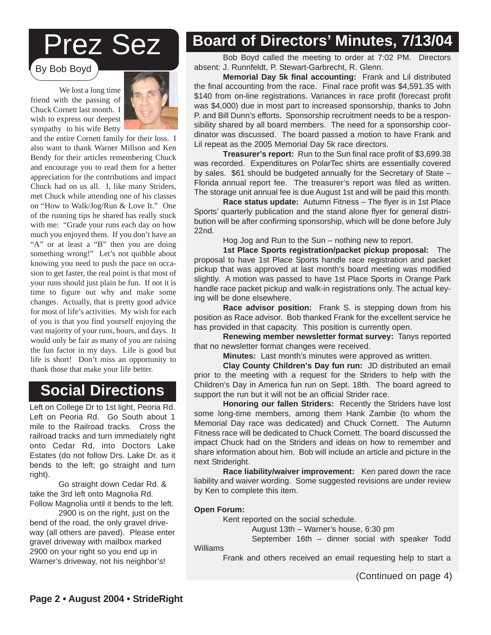# Prez Sez

By Bob Boyd

We lost a long time friend with the passing of Chuck Cornett last month. I wish to express our deepest sympathy to his wife Betty



and the entire Cornett family for their loss. I also want to thank Warner Millson and Ken Bendy for their articles remembering Chuck and encourage you to read them for a better appreciation for the contributions and impact Chuck had on us all. I, like many Striders, met Chuck while attending one of his classes on "How to Walk/Jog/Run & Love It." One of the running tips he shared has really stuck with me: "Grade your runs each day on how much you enjoyed them. If you don't have an "A" or at least a "B" then you are doing something wrong!" Let's not quibble about knowing you need to push the pace on occasion to get faster, the real point is that most of your runs should just plain be fun. If not it is time to figure out why and make some changes. Actually, that is pretty good advice for most of life's activities. My wish for each of you is that you find yourself enjoying the vast majority of your runs, hours, and days. It would only be fair as many of you are raising the fun factor in my days. Life is good but life is short! Don't miss an opportunity to thank those that make your life better.

### **Social Directions**

Left on College Dr to 1st light, Peoria Rd. Left on Peoria Rd. Go South about 1 mile to the Railroad tracks. Cross the railroad tracks and turn immediately right onto Cedar Rd, into Doctors Lake Estates (do not follow Drs. Lake Dr. as it bends to the left; go straight and turn right).

Go straight down Cedar Rd. & take the 3rd left onto Magnolia Rd. Follow Magnolia until it bends to the left.

2900 is on the right, just on the bend of the road, the only gravel driveway (all others are paved). Please enter gravel driveway with mailbox marked 2900 on your right so you end up in Warner's driveway, not his neighbor's!

# **Board of Directors' Minutes, 7/13/04**

Bob Boyd called the meeting to order at 7:02 PM. Directors absent: J. Runnfeldt, P. Stewart-Garbrecht, R. Glenn.

**Memorial Day 5k final accounting:** Frank and Lil distributed the final accounting from the race. Final race profit was \$4,591.35 with \$140 from on-line registrations. Variances in race profit (forecast profit was \$4,000) due in most part to increased sponsorship, thanks to John P. and Bill Dunn's efforts. Sponsorship recruitment needs to be a responsibility shared by all board members. The need for a sponsorship coordinator was discussed. The board passed a motion to have Frank and Lil repeat as the 2005 Memorial Day 5k race directors.

**Treasurer's report:** Run to the Sun final race profit of \$3,699.38 was recorded. Expenditures on PolarTec shirts are essentially covered by sales. \$61 should be budgeted annually for the Secretary of State – Florida annual report fee. The treasurer's report was filed as written. The storage unit annual fee is due August 1st and will be paid this month.

**Race status update:** Autumn Fitness – The flyer is in 1st Place Sports' quarterly publication and the stand alone flyer for general distribution will be after confirming sponsorship, which will be done before July 22nd.

Hog Jog and Run to the Sun – nothing new to report.

**1st Place Sports registration/packet pickup proposal:** The proposal to have 1st Place Sports handle race registration and packet pickup that was approved at last month's board meeting was modified slightly. A motion was passed to have 1st Place Sports in Orange Park handle race packet pickup and walk-in registrations only. The actual keying will be done elsewhere.

**Race advisor position:** Frank S. is stepping down from his position as Race advisor. Bob thanked Frank for the excellent service he has provided in that capacity. This position is currently open.

**Renewing member newsletter format survey:** Tanys reported that no newsletter format changes were received.

**Minutes:** Last month's minutes were approved as written.

**Clay County Children's Day fun run:** JD distributed an email prior to the meeting with a request for the Striders to help with the Children's Day in America fun run on Sept. 18th. The board agreed to support the run but it will not be an official Strider race.

**Some long and members, among arom hank Earnold (i.e. when are Memorial Day race was dedicated) and Chuck Cornett. The Autumn** impact Chuck had on the Striders and ideas on how to remember and share information about him. Bob will include an article and picture in the **Honoring our fallen Striders:** Recently the Striders have lost some long-time members, among them Hank Zambie (to whom the Fitness race will be dedicated to Chuck Cornett. The board discussed the next Strideright.

deright.<br>**Race liability/waiver improvement:** Ken pared down the race **Cace hability waiver improvement.** Ken pared down the race<br>liability and waiver wording. Some suggested revisions are under review naming and name increasing come eaggests in means are and the local by Ken to complete this item.

#### **Open Forum:**

Kent reported on the social schedule.<br>And is of 1911 and is offering the social schedule.

just four = vvarier s flouse, 0.00 pm<br>stamber 16th = dinner social with spe August 13th – Warner's house, 6:30 pm

September 16th – dinner social with speaker Todd

Williams

Frank and others received an email requesting help to start a

(Continued on page 4)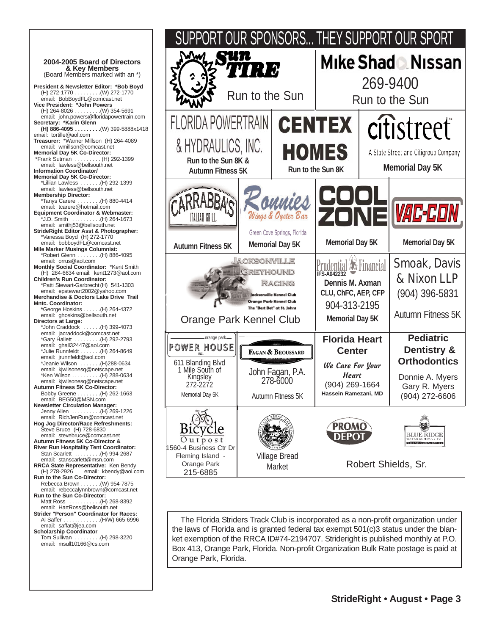



The Florida Striders Track Club is incorporated as a non-profit organization under the laws of Florida and is granted federal tax exempt 501(c)3 status under the blanket exemption of the RRCA ID#74-2194707. Strideright is published monthly at P.O. Box 413, Orange Park, Florida. Non-profit Organization Bulk Rate postage is paid at Orange Park, Florida.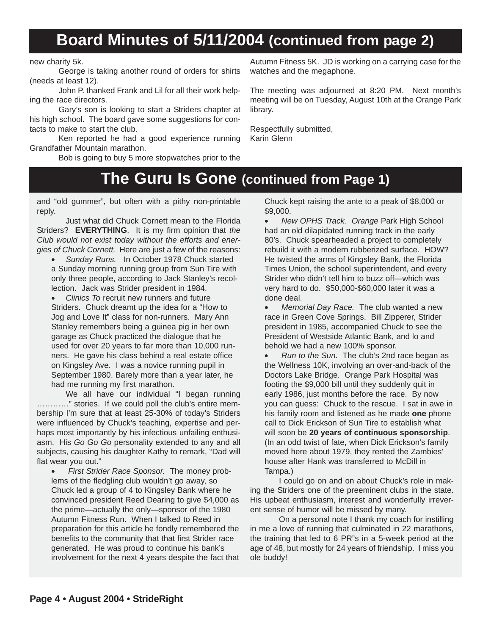# **Board Minutes of 5/11/2004 (continued from page 2)**

new charity 5k.

George is taking another round of orders for shirts (needs at least 12).

John P. thanked Frank and Lil for all their work helping the race directors.

Gary's son is looking to start a Striders chapter at his high school. The board gave some suggestions for contacts to make to start the club.

Ken reported he had a good experience running Grandfather Mountain marathon.

Bob is going to buy 5 more stopwatches prior to the

Autumn Fitness 5K. JD is working on a carrying case for the watches and the megaphone.

The meeting was adjourned at 8:20 PM. Next month's meeting will be on Tuesday, August 10th at the Orange Park library.

Respectfully submitted, Karin Glenn

## **The Guru Is Gone (continued from Page 1)**

and "old gummer", but often with a pithy non-printable reply.

Just what did Chuck Cornett mean to the Florida Striders? **EVERYTHING**. It is my firm opinion that *the Club would not exist today without the efforts and energies of Chuck Cornett.* Here are just a few of the reasons:

• *Sunday Runs.* In October 1978 Chuck started a Sunday morning running group from Sun Tire with only three people, according to Jack Stanley's recollection. Jack was Strider president in 1984.

• *Clinics To* recruit new runners and future Striders. Chuck dreamt up the idea for a "How to Jog and Love It" class for non-runners. Mary Ann Stanley remembers being a guinea pig in her own garage as Chuck practiced the dialogue that he used for over 20 years to far more than 10,000 runners. He gave his class behind a real estate office on Kingsley Ave. I was a novice running pupil in September 1980. Barely more than a year later, he had me running my first marathon.

We all have our individual "I began running …………" stories. If we could poll the club's entire membership I'm sure that at least 25-30% of today's Striders were influenced by Chuck's teaching, expertise and perhaps most importantly by his infectious unfailing enthusiasm. His *Go Go Go* personality extended to any and all subjects, causing his daughter Kathy to remark, "Dad will flat wear you out."

• *First Strider Race Sponsor.* The money problems of the fledgling club wouldn't go away, so Chuck led a group of 4 to Kingsley Bank where he convinced president Reed Dearing to give \$4,000 as the prime—actually the only—sponsor of the 1980 Autumn Fitness Run. When I talked to Reed in preparation for this article he fondly remembered the benefits to the community that that first Strider race generated. He was proud to continue his bank's involvement for the next 4 years despite the fact that Chuck kept raising the ante to a peak of \$8,000 or \$9,000.

• *New OPHS Track. Orange* Park High School had an old dilapidated running track in the early 80's. Chuck spearheaded a project to completely rebuild it with a modern rubberized surface. HOW? He twisted the arms of Kingsley Bank, the Florida Times Union, the school superintendent, and every Strider who didn't tell him to buzz off—which was very hard to do. \$50,000-\$60,000 later it was a done deal.

• *Memorial Day Race.* The club wanted a new race in Green Cove Springs. Bill Zipperer, Strider president in 1985, accompanied Chuck to see the President of Westside Atlantic Bank, and lo and behold we had a new 100% sponsor.

• *Run to the Sun.* The club's 2nd race began as the Wellness 10K, involving an over-and-back of the Doctors Lake Bridge. Orange Park Hospital was footing the \$9,000 bill until they suddenly quit in early 1986, just months before the race. By now you can guess: Chuck to the rescue. I sat in awe in his family room and listened as he made **one** phone call to Dick Erickson of Sun Tire to establish what will soon be **20 years of continuous sponsorship**. (In an odd twist of fate, when Dick Erickson's family moved here about 1979, they rented the Zambies' house after Hank was transferred to McDill in Tampa.)

I could go on and on about Chuck's role in making the Striders one of the preeminent clubs in the state. His upbeat enthusiasm, interest and wonderfully irreverent sense of humor will be missed by many.

On a personal note I thank my coach for instilling in me a love of running that culminated in 22 marathons, the training that led to 6 PR"s in a 5-week period at the age of 48, but mostly for 24 years of friendship. I miss you ole buddy!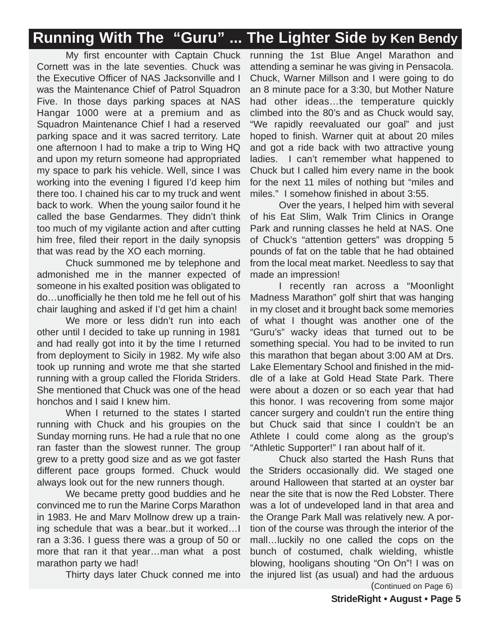# **Running With The "Guru" ... The Lighter Side by Ken Bendy**

My first encounter with Captain Chuck Cornett was in the late seventies. Chuck was the Executive Officer of NAS Jacksonville and I was the Maintenance Chief of Patrol Squadron Five. In those days parking spaces at NAS Hangar 1000 were at a premium and as Squadron Maintenance Chief I had a reserved parking space and it was sacred territory. Late one afternoon I had to make a trip to Wing HQ and upon my return someone had appropriated my space to park his vehicle. Well, since I was working into the evening I figured I'd keep him there too. I chained his car to my truck and went back to work. When the young sailor found it he called the base Gendarmes. They didn't think too much of my vigilante action and after cutting him free, filed their report in the daily synopsis that was read by the XO each morning.

Chuck summoned me by telephone and admonished me in the manner expected of someone in his exalted position was obligated to do…unofficially he then told me he fell out of his chair laughing and asked if I'd get him a chain!

We more or less didn't run into each other until I decided to take up running in 1981 and had really got into it by the time I returned from deployment to Sicily in 1982. My wife also took up running and wrote me that she started running with a group called the Florida Striders. She mentioned that Chuck was one of the head honchos and I said I knew him.

When I returned to the states I started running with Chuck and his groupies on the Sunday morning runs. He had a rule that no one ran faster than the slowest runner. The group grew to a pretty good size and as we got faster different pace groups formed. Chuck would always look out for the new runners though.

We became pretty good buddies and he convinced me to run the Marine Corps Marathon in 1983. He and Marv Mollnow drew up a training schedule that was a bear..but it worked…I ran a 3:36. I guess there was a group of 50 or more that ran it that year…man what a post marathon party we had!

Thirty days later Chuck conned me into

running the 1st Blue Angel Marathon and attending a seminar he was giving in Pensacola. Chuck, Warner Millson and I were going to do an 8 minute pace for a 3:30, but Mother Nature had other ideas…the temperature quickly climbed into the 80's and as Chuck would say, "We rapidly reevaluated our goal" and just hoped to finish. Warner quit at about 20 miles and got a ride back with two attractive young ladies. I can't remember what happened to Chuck but I called him every name in the book for the next 11 miles of nothing but "miles and miles." I somehow finished in about 3:55.

Over the years, I helped him with several of his Eat Slim, Walk Trim Clinics in Orange Park and running classes he held at NAS. One of Chuck's "attention getters" was dropping 5 pounds of fat on the table that he had obtained from the local meat market. Needless to say that made an impression!

I recently ran across a "Moonlight Madness Marathon" golf shirt that was hanging in my closet and it brought back some memories of what I thought was another one of the "Guru's" wacky ideas that turned out to be something special. You had to be invited to run this marathon that began about 3:00 AM at Drs. Lake Elementary School and finished in the middle of a lake at Gold Head State Park. There were about a dozen or so each year that had this honor. I was recovering from some major cancer surgery and couldn't run the entire thing but Chuck said that since I couldn't be an Athlete I could come along as the group's "Athletic Supporter!" I ran about half of it.

Chuck also started the Hash Runs that the Striders occasionally did. We staged one around Halloween that started at an oyster bar near the site that is now the Red Lobster. There was a lot of undeveloped land in that area and the Orange Park Mall was relatively new. A portion of the course was through the interior of the mall…luckily no one called the cops on the bunch of costumed, chalk wielding, whistle blowing, hooligans shouting "On On"! I was on the injured list (as usual) and had the arduous (Continued on Page 6)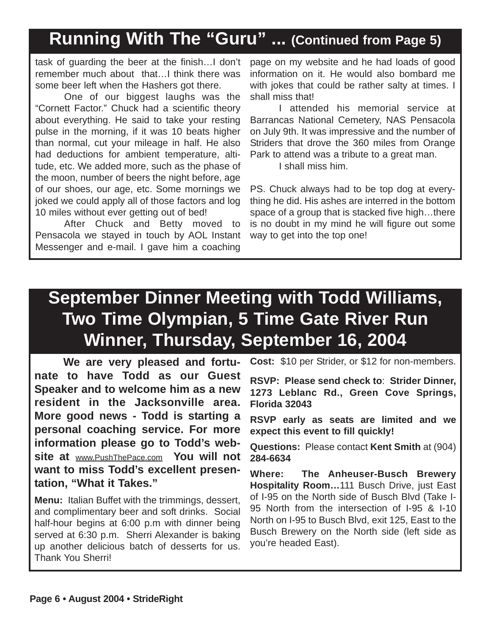# **Running With The "Guru" ... (Continued from Page 5)**

task of guarding the beer at the finish…I don't remember much about that…I think there was some beer left when the Hashers got there.

One of our biggest laughs was the "Cornett Factor." Chuck had a scientific theory about everything. He said to take your resting pulse in the morning, if it was 10 beats higher than normal, cut your mileage in half. He also had deductions for ambient temperature, altitude, etc. We added more, such as the phase of the moon, number of beers the night before, age of our shoes, our age, etc. Some mornings we joked we could apply all of those factors and log 10 miles without ever getting out of bed!

After Chuck and Betty moved to Pensacola we stayed in touch by AOL Instant Messenger and e-mail. I gave him a coaching

page on my website and he had loads of good information on it. He would also bombard me with jokes that could be rather salty at times. I shall miss that!

I attended his memorial service at Barrancas National Cemetery, NAS Pensacola on July 9th. It was impressive and the number of Striders that drove the 360 miles from Orange Park to attend was a tribute to a great man.

I shall miss him.

PS. Chuck always had to be top dog at everything he did. His ashes are interred in the bottom space of a group that is stacked five high…there is no doubt in my mind he will figure out some way to get into the top one!

# **September Dinner Meeting with Todd Williams, Two Time Olympian, 5 Time Gate River Run Winner, Thursday, September 16, 2004**

**We are very pleased and fortunate to have Todd as our Guest Speaker and to welcome him as a new resident in the Jacksonville area. More good news - Todd is starting a personal coaching service. For more information please go to Todd's website at** www.PushThePace.com **You will not want to miss Todd's excellent presentation, "What it Takes."**

**Menu:** Italian Buffet with the trimmings, dessert, and complimentary beer and soft drinks. Social half-hour begins at 6:00 p.m with dinner being served at 6:30 p.m. Sherri Alexander is baking up another delicious batch of desserts for us. Thank You Sherri!

**Cost:** \$10 per Strider, or \$12 for non-members.

**RSVP: Please send check to**: **Strider Dinner, 1273 Leblanc Rd., Green Cove Springs, Florida 32043**

**RSVP early as seats are limited and we expect this event to fill quickly!**

**Questions:** Please contact **Kent Smith** at (904) **284-6634**

**Where: The Anheuser-Busch Brewery Hospitality Room…**111 Busch Drive, just East of I-95 on the North side of Busch Blvd (Take I-95 North from the intersection of I-95 & I-10 North on I-95 to Busch Blvd, exit 125, East to the Busch Brewery on the North side (left side as you're headed East).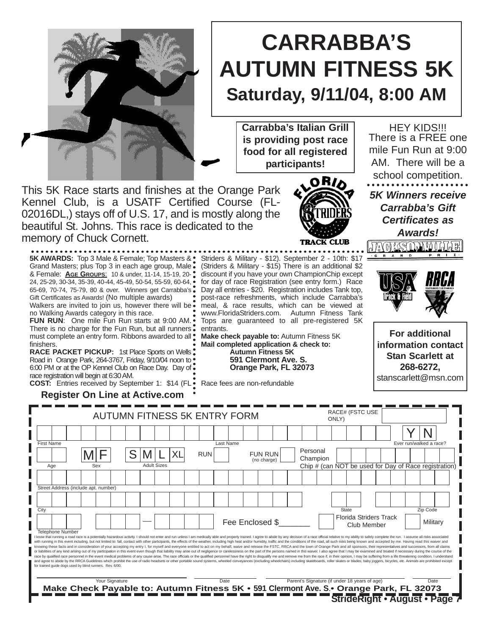

# **CARRABBA'S AUTUMN FITNESS 5K Saturday, 9/11/04, 8:00 AM**

**Carrabba's Italian Grill is providing post race food for all registered participants!**

Striders & Military - \$12). September 2 - 10th: \$17 (Striders & Military - \$15) There is an additional \$2 discount if you have your own ChampionChip except for day of race Registration (see entry form.) Race Day all entries - \$20. Registration includes Tank top, post-race refreshments, which include Carrabba's meal, & race results, which can be viewed at www.FloridaStriders.com. Autumn Fitness Tank Tops are guaranteed to all pre-registered 5K

**Make check payable to:** Autumn Fitness 5K **Mail completed application & check to: Autumn Fitness 5K 591 Clermont Ave. S. Orange Park, FL 32073**

This 5K Race starts and finishes at the Orange Park Kennel Club, is a USATF Certified Course (FL-02016DL,) stays off of U.S. 17, and is mostly along the beautiful St. Johns. This race is dedicated to the memory of Chuck Cornett.

**5K AWARDS:** Top 3 Male & Female; Top Masters & Grand Masters; plus Top 3 in each age group, Male & Female: **AGE GROUPS**: 10 & under, 11-14, 15-19, 20- 24, 25-29, 30-34, 35-39, 40-44, 45-49, 50-54, 55-59, 60-64, 65-69, 70-74, 75-79, 80 & over. Winners get Carrabba's Gift Certificates as Awards! (No multiple awards)

Walkers are invited to join us, however there will be. no Walking Awards category in this race.

**FUN RUN**: One mile Fun Run starts at 9:00 AM. There is no charge for the Fun Run, but all runners . must complete an entry form. Ribbons awarded to all  $\cdot$ finishers.

**RACE PACKET PICKUP: 1st Place Sports on Wells:** Road in Orange Park, 264-3767, Friday, 9/10/04 noon to • 6:00 PM or at the OP Kennel Club on Race Day. Day of race registration will begin at 6:30 AM. **COST:** Entries received by September 1: \$14 (FL

**Register On Line at Active.com**



HEY KIDS!!! There is a FREE one mile Fun Run at 9:00 AM. There will be a school competition. *5K Winners receive Carrabba's Gift Certificates as Awards!*



**For additional information contact Stan Scarlett at 268-6272,**  stanscarlett@msn.com

Race fees are non-refundable

entrants.

| <b>AUTUMN FITNESS 5K ENTRY FORM</b>                                                                                                                                                                                                                                                                                                                                                                                                                                                                                                                                                                                                                                                                                                                                                                                                                                                                                                                                                                                                                                                                                                                                                                                                                                                                                                                                                                                                                                                            |  |     |                |  |  |                    |    |  |            |           | ONLY)           |                               | RACE# (FSTC USE |                                               |  |              |             |                                    |                                                       |          |  |
|------------------------------------------------------------------------------------------------------------------------------------------------------------------------------------------------------------------------------------------------------------------------------------------------------------------------------------------------------------------------------------------------------------------------------------------------------------------------------------------------------------------------------------------------------------------------------------------------------------------------------------------------------------------------------------------------------------------------------------------------------------------------------------------------------------------------------------------------------------------------------------------------------------------------------------------------------------------------------------------------------------------------------------------------------------------------------------------------------------------------------------------------------------------------------------------------------------------------------------------------------------------------------------------------------------------------------------------------------------------------------------------------------------------------------------------------------------------------------------------------|--|-----|----------------|--|--|--------------------|----|--|------------|-----------|-----------------|-------------------------------|-----------------|-----------------------------------------------|--|--------------|-------------|------------------------------------|-------------------------------------------------------|----------|--|
|                                                                                                                                                                                                                                                                                                                                                                                                                                                                                                                                                                                                                                                                                                                                                                                                                                                                                                                                                                                                                                                                                                                                                                                                                                                                                                                                                                                                                                                                                                |  |     |                |  |  |                    |    |  |            |           |                 |                               |                 |                                               |  |              |             |                                    |                                                       |          |  |
| <b>First Name</b>                                                                                                                                                                                                                                                                                                                                                                                                                                                                                                                                                                                                                                                                                                                                                                                                                                                                                                                                                                                                                                                                                                                                                                                                                                                                                                                                                                                                                                                                              |  |     |                |  |  |                    |    |  |            | Last Name |                 |                               |                 |                                               |  |              |             |                                    | Ever run/walked a race?                               |          |  |
|                                                                                                                                                                                                                                                                                                                                                                                                                                                                                                                                                                                                                                                                                                                                                                                                                                                                                                                                                                                                                                                                                                                                                                                                                                                                                                                                                                                                                                                                                                |  |     |                |  |  |                    | XL |  | <b>RUN</b> |           |                 | <b>FUN RUN</b><br>(no charge) |                 | Personal<br>Champion                          |  |              |             |                                    |                                                       |          |  |
| Age                                                                                                                                                                                                                                                                                                                                                                                                                                                                                                                                                                                                                                                                                                                                                                                                                                                                                                                                                                                                                                                                                                                                                                                                                                                                                                                                                                                                                                                                                            |  | Sex |                |  |  | <b>Adult Sizes</b> |    |  |            |           |                 |                               |                 |                                               |  |              |             |                                    | Chip # (can NOT be used for Day of Race registration) |          |  |
|                                                                                                                                                                                                                                                                                                                                                                                                                                                                                                                                                                                                                                                                                                                                                                                                                                                                                                                                                                                                                                                                                                                                                                                                                                                                                                                                                                                                                                                                                                |  |     |                |  |  |                    |    |  |            |           |                 |                               |                 |                                               |  |              |             |                                    |                                                       |          |  |
| Street Address (include apt. number)                                                                                                                                                                                                                                                                                                                                                                                                                                                                                                                                                                                                                                                                                                                                                                                                                                                                                                                                                                                                                                                                                                                                                                                                                                                                                                                                                                                                                                                           |  |     |                |  |  |                    |    |  |            |           |                 |                               |                 |                                               |  |              |             |                                    |                                                       |          |  |
|                                                                                                                                                                                                                                                                                                                                                                                                                                                                                                                                                                                                                                                                                                                                                                                                                                                                                                                                                                                                                                                                                                                                                                                                                                                                                                                                                                                                                                                                                                |  |     |                |  |  |                    |    |  |            |           |                 |                               |                 |                                               |  |              |             |                                    |                                                       |          |  |
| City                                                                                                                                                                                                                                                                                                                                                                                                                                                                                                                                                                                                                                                                                                                                                                                                                                                                                                                                                                                                                                                                                                                                                                                                                                                                                                                                                                                                                                                                                           |  |     |                |  |  |                    |    |  |            |           |                 |                               |                 |                                               |  | <b>State</b> |             |                                    |                                                       | Zip Code |  |
|                                                                                                                                                                                                                                                                                                                                                                                                                                                                                                                                                                                                                                                                                                                                                                                                                                                                                                                                                                                                                                                                                                                                                                                                                                                                                                                                                                                                                                                                                                |  |     |                |  |  |                    |    |  |            |           | Fee Enclosed \$ |                               |                 |                                               |  |              | Club Member | <b>Florida Striders Track</b>      |                                                       | Military |  |
| <b>Telephone Number</b><br>I know that running a road race is a potentially hazardous activity. I should not enter and run unless I am medically able and properly trained. I agree to abide by any decision of a race official relative to my ability to<br>with running in this event including, but not limited to: fall, contact with other participants, the effects of the weather, including high heat and/or humidity, traffic and the conditions of the road, all such risks being<br>knowing these facts and in consideration of your accepting my entry I, for myself and everyone entitled to act on my behalf, waive and release the FSTC, RRCA and the town of Orange Park and all sponsors, their representati<br>or liabilities of any kind arising out of my participation in this event even though that liability may arise out of negligence or carelessness on the part of the persons named in this waiver. I also agree that I may be ex<br>race by qualified race personnel in the event medical problems of any cause arise. The race officials or the qualified personnel have the right to disqualify me and remove me from the race if, in their opinion, I may be su<br>and agree to abide by the RRCA Guidelines which prohibit the use of radio headsets or other portable sound systems, wheeled conveyances (excluding wheelchairs) including skateboards, roller skates or blades, baby joggers,<br>for trained quide dogs used by blind runners. Rev. 6/00. |  |     |                |  |  |                    |    |  |            |           |                 |                               |                 |                                               |  |              |             |                                    |                                                       |          |  |
|                                                                                                                                                                                                                                                                                                                                                                                                                                                                                                                                                                                                                                                                                                                                                                                                                                                                                                                                                                                                                                                                                                                                                                                                                                                                                                                                                                                                                                                                                                |  |     | Your Signature |  |  |                    |    |  |            | Date      |                 |                               |                 |                                               |  |              |             |                                    |                                                       | Date     |  |
| Make Check Payable to: Autumn Fitness 5K • 591 Clermont Ave. S. • Orange Park, FL 32073                                                                                                                                                                                                                                                                                                                                                                                                                                                                                                                                                                                                                                                                                                                                                                                                                                                                                                                                                                                                                                                                                                                                                                                                                                                                                                                                                                                                        |  |     |                |  |  |                    |    |  |            |           |                 |                               |                 | Parent's Signature (if under 18 years of age) |  |              |             |                                    |                                                       |          |  |
|                                                                                                                                                                                                                                                                                                                                                                                                                                                                                                                                                                                                                                                                                                                                                                                                                                                                                                                                                                                                                                                                                                                                                                                                                                                                                                                                                                                                                                                                                                |  |     |                |  |  |                    |    |  |            |           |                 |                               |                 |                                               |  |              |             | <b>StrideRight • August • Page</b> |                                                       |          |  |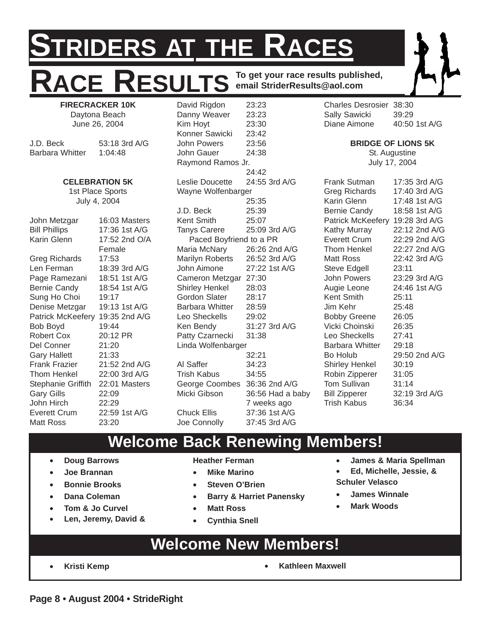# **STRIDERS AT THE RACES** ACE RESULTS **To get your race results published, email StriderResults@aol.com**

**FIRECRACKER 10K** Daytona Beach June 26, 2004

J.D. Beck 53:18 3rd A/G Barbara Whitter 1:04:48

#### **CELEBRATION 5K**

1st Place Sports July 4, 2004

John Metzgar 16:03 Masters Bill Phillips 17:36 1st A/G Karin Glenn 17:52 2nd O/A Female Greg Richards 17:53 Len Ferman 18:39 3rd A/G Page Ramezani 18:51 1st A/G Bernie Candy 18:54 1st A/G Sung Ho Choi 19:17 Denise Metzgar 19:13 1st A/G Patrick McKeefery 19:35 2nd A/G Bob Boyd 19:44<br>Robert Cox 20:12 PR Robert Cox Del Conner 21:20 Gary Hallett 21:33 Frank Frazier 21:52 2nd A/G Thom Henkel 22:00 3rd A/G Stephanie Griffith 22:01 Masters Gary Gills 22:09 John Hirch 22:29 Everett Crum 22:59 1st A/G Matt Ross 23:20

David Rigdon 23:23 Danny Weaver 23:23 Kim Hoyt 23:30 Konner Sawicki 23:42 John Powers 23:56 John Gauer 24:38 Raymond Ramos Jr. 24:42 Leslie Doucette 24:55 3rd A/G Wayne Wolfenbarger 25:35 J.D. Beck 25:39 Kent Smith 25:07 Tanys Carere 25:09 3rd A/G Paced Boyfriend to a PR Maria McNary 26:26 2nd A/G Marilyn Roberts 26:52 3rd A/G John Aimone 27:22 1st A/G Cameron Metzgar 27:30 Shirley Henkel 28:03 Gordon Slater 28:17 Barbara Whitter 28:59 Leo Sheckells 29:02 Ken Bendy 31:27 3rd A/G Patty Czarnecki 31:38 Linda Wolfenbarger 32:21 Al Saffer 34:23 Trish Kabus 34:55 George Coombes 36:36 2nd A/G Micki Gibson 36:56 Had a baby 7 weeks ago Chuck Ellis 37:36 1st A/G Joe Connolly 37:45 3rd A/G

Charles Desrosier 38:30 Sally Sawicki 39:29 Diane Aimone 40:50 1st A/G

#### **BRIDGE OF LIONS 5K**

St. Augustine July 17, 2004

Frank Sutman 17:35 3rd A/G Greg Richards 17:40 3rd A/G Karin Glenn 17:48 1st A/G Bernie Candy 18:58 1st A/G Patrick McKeefery 19:28 3rd A/G Kathy Murray 22:12 2nd A/G Everett Crum 22:29 2nd A/G Thom Henkel 22:27 2nd A/G Matt Ross 22:42 3rd A/G Steve Edgell 23:11 John Powers 23:29 3rd A/G Augie Leone 24:46 1st A/G Kent Smith 25:11 Jim Kehr 25:48 Bobby Greene 26:05 Vicki Choinski 26:35 Leo Sheckells 27:41 Barbara Whitter 29:18 Bo Holub 29:50 2nd A/G Shirley Henkel 30:19 Robin Zipperer 31:05 Tom Sullivan 31:14 Bill Zipperer 32:19 3rd A/G Trish Kabus 36:34

### **Welcome Back Renewing Members!**

- **Doug Barrows**
- **Joe Brannan**
- **Bonnie Brooks**
- **Dana Coleman**
- **Tom & Jo Curvel**
- **Len, Jeremy, David &**

**Heather Ferman**

- **Mike Marino**
- **Steven O'Brien**
- **Barry & Harriet Panensky**
- **Matt Ross**
- **Cynthia Snell**
- **James & Maria Spellman**
- **Ed, Michelle, Jessie, & Schuler Velasco**
- **James Winnale**
- **Mark Woods**

## **Welcome New Members!**

- 
- **Kristi Kemp Kathleen Maxwell**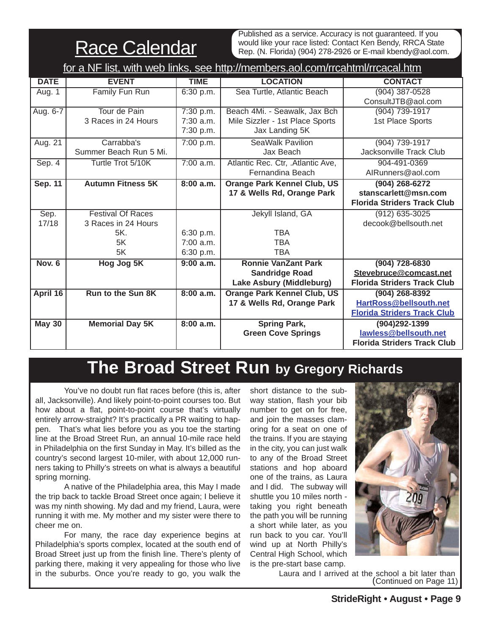**Race Calendar** 

Published as a service. Accuracy is not guaranteed. If you would like your race listed: Contact Ken Bendy, RRCA State Rep. (N. Florida) (904) 278-2926 or E-mail kbendy@aol.com.

| for a NF list, with web links, see http://members.aol.com/rrcahtml/rrcacal.htm |                          |             |                                    |                                    |  |  |  |  |  |
|--------------------------------------------------------------------------------|--------------------------|-------------|------------------------------------|------------------------------------|--|--|--|--|--|
| <b>DATE</b>                                                                    | <b>EVENT</b>             | <b>TIME</b> | <b>LOCATION</b>                    | <b>CONTACT</b>                     |  |  |  |  |  |
| Aug. 1                                                                         | Family Fun Run           | 6:30 p.m.   | Sea Turtle, Atlantic Beach         | $(904)$ 387-0528                   |  |  |  |  |  |
|                                                                                |                          |             |                                    | ConsultJTB@aol.com                 |  |  |  |  |  |
| Aug. 6-7                                                                       | Tour de Pain             | 7:30 p.m.   | Beach 4Mi. - Seawalk, Jax Bch      | (904) 739-1917                     |  |  |  |  |  |
|                                                                                | 3 Races in 24 Hours      | 7:30 a.m.   | Mile Sizzler - 1st Place Sports    | 1st Place Sports                   |  |  |  |  |  |
|                                                                                |                          | 7:30 p.m.   | Jax Landing 5K                     |                                    |  |  |  |  |  |
| Aug. 21                                                                        | Carrabba's               | 7:00 p.m.   | <b>SeaWalk Pavilion</b>            | (904) 739-1917                     |  |  |  |  |  |
|                                                                                | Summer Beach Run 5 Mi.   |             | Jax Beach                          | Jacksonville Track Club            |  |  |  |  |  |
| Sep.4                                                                          | Turtle Trot 5/10K        | 7:00 a.m.   | Atlantic Rec. Ctr, .Atlantic Ave,  | 904-491-0369                       |  |  |  |  |  |
|                                                                                |                          |             | Fernandina Beach                   | AIRunners@aol.com                  |  |  |  |  |  |
| Sep. 11                                                                        | <b>Autumn Fitness 5K</b> | 8:00 a.m.   | <b>Orange Park Kennel Club, US</b> | $(904)$ 268-6272                   |  |  |  |  |  |
|                                                                                |                          |             | 17 & Wells Rd, Orange Park         | stanscarlett@msn.com               |  |  |  |  |  |
|                                                                                |                          |             |                                    | <b>Florida Striders Track Club</b> |  |  |  |  |  |
| Sep.                                                                           | <b>Festival Of Races</b> |             | Jekyll Island, GA                  | $(912) 635 - 3025$                 |  |  |  |  |  |
| 17/18                                                                          | 3 Races in 24 Hours      |             |                                    | decook@bellsouth.net               |  |  |  |  |  |
|                                                                                | 5K.                      | 6:30 p.m.   | <b>TBA</b>                         |                                    |  |  |  |  |  |
|                                                                                | 5K                       | $7:00$ a.m. | <b>TBA</b>                         |                                    |  |  |  |  |  |
|                                                                                | 5K                       | 6:30 p.m.   | <b>TBA</b>                         |                                    |  |  |  |  |  |
| Nov. 6                                                                         | Hog Jog 5K               | 9:00a.m.    | <b>Ronnie VanZant Park</b>         | $(904) 728 - 6830$                 |  |  |  |  |  |
|                                                                                |                          |             | <b>Sandridge Road</b>              | Stevebruce@comcast.net             |  |  |  |  |  |
|                                                                                |                          |             | Lake Asbury (Middleburg)           | <b>Florida Striders Track Club</b> |  |  |  |  |  |
| April 16                                                                       | <b>Run to the Sun 8K</b> | 8:00 a.m.   | <b>Orange Park Kennel Club, US</b> | $(904)$ 268-8392                   |  |  |  |  |  |
|                                                                                |                          |             | 17 & Wells Rd, Orange Park         | HartRoss@bellsouth.net             |  |  |  |  |  |
|                                                                                |                          |             |                                    | <b>Florida Striders Track Club</b> |  |  |  |  |  |
| <b>May 30</b>                                                                  | <b>Memorial Day 5K</b>   | 8:00 a.m.   | <b>Spring Park,</b>                | (904)292-1399                      |  |  |  |  |  |
|                                                                                |                          |             | <b>Green Cove Springs</b>          | lawless@bellsouth.net              |  |  |  |  |  |
|                                                                                |                          |             |                                    | <b>Florida Striders Track Club</b> |  |  |  |  |  |

# **The Broad Street Run by Gregory Richards**

You've no doubt run flat races before (this is, after all, Jacksonville). And likely point-to-point courses too. But how about a flat, point-to-point course that's virtually entirely arrow-straight? It's practically a PR waiting to happen. That's what lies before you as you toe the starting line at the Broad Street Run, an annual 10-mile race held in Philadelphia on the first Sunday in May. It's billed as the country's second largest 10-miler, with about 12,000 runners taking to Philly's streets on what is always a beautiful spring morning.

A native of the Philadelphia area, this May I made the trip back to tackle Broad Street once again; I believe it was my ninth showing. My dad and my friend, Laura, were running it with me. My mother and my sister were there to cheer me on.

For many, the race day experience begins at Philadelphia's sports complex, located at the south end of Broad Street just up from the finish line. There's plenty of parking there, making it very appealing for those who live in the suburbs. Once you're ready to go, you walk the

short distance to the subway station, flash your bib number to get on for free, and join the masses clamoring for a seat on one of the trains. If you are staying in the city, you can just walk to any of the Broad Street stations and hop aboard one of the trains, as Laura and I did. The subway will shuttle you 10 miles north taking you right beneath the path you will be running a short while later, as you run back to you car. You'll wind up at North Philly's Central High School, which is the pre-start base camp.



Laura and I arrived at the school a bit later than (Continued on Page 11)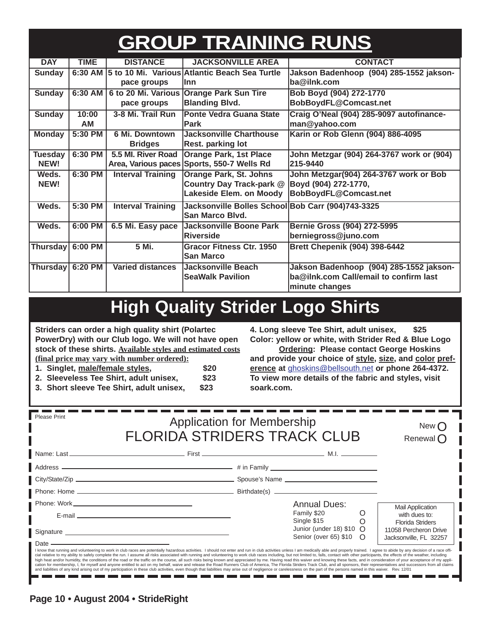# **GROUP TRAINING RUNS**

| <b>DAY</b>       | <b>TIME</b> | <b>DISTANCE</b>          | <b>JACKSONVILLE AREA</b>                                | <b>CONTACT</b>                            |
|------------------|-------------|--------------------------|---------------------------------------------------------|-------------------------------------------|
| <b>Sunday</b>    |             |                          | 6:30 AM   5 to 10 Mi. Various Atlantic Beach Sea Turtle | Jakson Badenhoop (904) 285-1552 jakson-   |
|                  |             | pace groups              | llnn                                                    | ba@ilnk.com                               |
| <b>Sunday</b>    | 6:30 AM     |                          | 6 to 20 Mi. Various Orange Park Sun Tire                | Bob Boyd (904) 272-1770                   |
|                  |             | pace groups              | <b>Blanding Blvd.</b>                                   | BobBoydFL@Comcast.net                     |
| <b>Sunday</b>    | 10:00       | 3-8 Mi. Trail Run        | <b>Ponte Vedra Guana State</b>                          | Craig O'Neal (904) 285-9097 autofinance-  |
|                  | AM          |                          | <b>Park</b>                                             | man@yahoo.com                             |
| <b>Monday</b>    | 5:30 PM     | 6 Mi. Downtown           | <b>Jacksonville Charthouse</b>                          | Karin or Rob Glenn (904) 886-4095         |
|                  |             | <b>Bridges</b>           | <b>Rest. parking lot</b>                                |                                           |
| <b>Tuesday</b>   | 6:30 PM     | 5.5 MI. River Road       | <b>Orange Park, 1st Place</b>                           | John Metzgar (904) 264-3767 work or (904) |
| NEW!             |             | Area, Various paces      | Sports, 550-7 Wells Rd                                  | 215-9440                                  |
| Weds.            | 6:30 PM     | <b>Interval Training</b> | Orange Park, St. Johns                                  | John Metzgar(904) 264-3767 work or Bob    |
| NEW!             |             |                          | Country Day Track-park @                                | Boyd (904) 272-1770,                      |
|                  |             |                          | Lakeside Elem. on Moody                                 | BobBoydFL@Comcast.net                     |
| Weds.            | 5:30 PM     | <b>Interval Training</b> | Jacksonville Bolles School Bob Carr (904)743-3325       |                                           |
|                  |             |                          | San Marco Blvd.                                         |                                           |
| Weds.            | 6:00 PM     | 6.5 Mi. Easy pace        | Jacksonville Boone Park                                 | Bernie Gross (904) 272-5995               |
|                  |             |                          | Riverside                                               | berniegross@juno.com                      |
| Thursday 6:00 PM |             | 5 Mi.                    | <b>Gracor Fitness Ctr. 1950</b>                         | Brett Chepenik (904) 398-6442             |
|                  |             |                          | <b>San Marco</b>                                        |                                           |
| Thursday 6:20 PM |             | <b>Varied distances</b>  | Jacksonville Beach                                      | Jakson Badenhoop (904) 285-1552 jakson-   |
|                  |             |                          | <b>SeaWalk Pavilion</b>                                 | ba@ilnk.com Call/email to confirm last    |
|                  |             |                          |                                                         | minute changes                            |

# **High Quality Strider Logo Shirts**

**Striders can order a high quality shirt (Polartec PowerDry) with our Club logo. We will not have open stock of these shirts. Available styles and estimated costs (final price may vary with number ordered):**

- **1. Singlet, male/female styles, \$20**
- **2. Sleeveless Tee Shirt, adult unisex, \$23**
- **3. Short sleeve Tee Shirt, adult unisex, \$23**

**4. Long sleeve Tee Shirt, adult unisex, \$25 Color: yellow or white, with Strider Red & Blue Logo**

**Ordering: Please contact George Hoskins and provide your choice of style, size, and color preference at** ghoskins@bellsouth.net **or phone 264-4372. To view more details of the fabric and styles, visit soark.com.**

| <b>Please Print</b>                                                                                                                                                                                                            | <b>Application for Membership</b><br><b>FLORIDA STRIDERS TRACK CLUB</b>                                                                                                                                                                                                                                                                                                                                                                                                                                                                                                                                                                                                                            | New $\subset$<br>Renewal $\bigcap$                                                                                                 |
|--------------------------------------------------------------------------------------------------------------------------------------------------------------------------------------------------------------------------------|----------------------------------------------------------------------------------------------------------------------------------------------------------------------------------------------------------------------------------------------------------------------------------------------------------------------------------------------------------------------------------------------------------------------------------------------------------------------------------------------------------------------------------------------------------------------------------------------------------------------------------------------------------------------------------------------------|------------------------------------------------------------------------------------------------------------------------------------|
|                                                                                                                                                                                                                                |                                                                                                                                                                                                                                                                                                                                                                                                                                                                                                                                                                                                                                                                                                    |                                                                                                                                    |
|                                                                                                                                                                                                                                |                                                                                                                                                                                                                                                                                                                                                                                                                                                                                                                                                                                                                                                                                                    |                                                                                                                                    |
|                                                                                                                                                                                                                                |                                                                                                                                                                                                                                                                                                                                                                                                                                                                                                                                                                                                                                                                                                    |                                                                                                                                    |
|                                                                                                                                                                                                                                |                                                                                                                                                                                                                                                                                                                                                                                                                                                                                                                                                                                                                                                                                                    |                                                                                                                                    |
|                                                                                                                                                                                                                                |                                                                                                                                                                                                                                                                                                                                                                                                                                                                                                                                                                                                                                                                                                    | <b>Annual Dues:</b><br><b>Mail Application</b>                                                                                     |
|                                                                                                                                                                                                                                | E-mail entertainment and the contract of the contract of the contract of the contract of the contract of the contract of the contract of the contract of the contract of the contract of the contract of the contract of the c                                                                                                                                                                                                                                                                                                                                                                                                                                                                     | Family \$20<br>Single \$15<br>$\circ$<br>with dues to:                                                                             |
|                                                                                                                                                                                                                                |                                                                                                                                                                                                                                                                                                                                                                                                                                                                                                                                                                                                                                                                                                    | <b>Florida Striders</b><br>Junior (under 18) $$10$ O<br>11058 Percheron Drive<br>Senior (over 65) \$10 O<br>Jacksonville, FL 32257 |
| Date enter the state of the state of the state of the state of the state of the state of the state of the state of the state of the state of the state of the state of the state of the state of the state of the state of the | I know that running and volunteering to work in club races are potentially hazardous activities. I should not enter and run in club activities unless I am medically able and properly trained. I agree to abide by any decisi<br>cial relative to my ability to safely complete the run. I assume all risks associated with running and volunteering to work club races including, but not limited to, falls, contact with other participants, the effects of t<br>high heat and/or humidity, the conditions of the road or the traffic on the course, all such risks being known and appreciated by me. Having read this waiver and knowing these facts, and in consideration of your acceptance |                                                                                                                                    |

high heat and/or humidity, the conditions of the road or the traffic on the course, all such risks being known and appreciated by me. Having read this waiver and knowing these facts, and in consideration of your acceptance n e ------------n e n e n e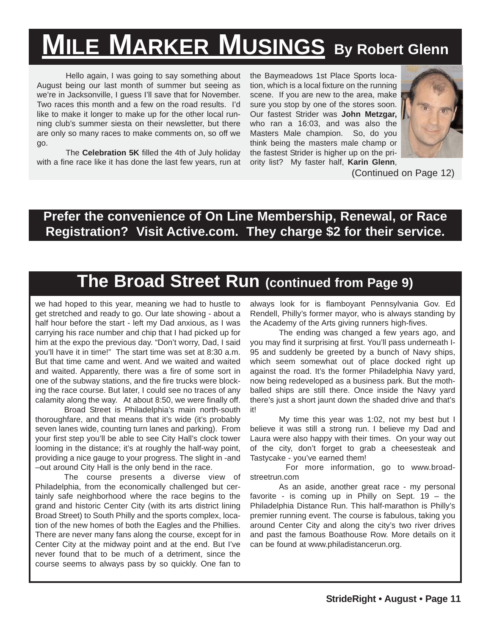# **MILE MARKER MUSINGS By Robert Glenn**

Hello again, I was going to say something about August being our last month of summer but seeing as we're in Jacksonville, I guess I'll save that for November. Two races this month and a few on the road results. I'd like to make it longer to make up for the other local running club's summer siesta on their newsletter, but there are only so many races to make comments on, so off we go.

The **Celebration 5K** filled the 4th of July holiday with a fine race like it has done the last few years, run at the Baymeadows 1st Place Sports location, which is a local fixture on the running scene. If you are new to the area, make sure you stop by one of the stores soon. Our fastest Strider was **John Metzgar,** who ran a 16:03, and was also the Masters Male champion. So, do you think being the masters male champ or the fastest Strider is higher up on the priority list? My faster half, **Karin Glenn**,



(Continued on Page 12)

### **Prefer the convenience of On Line Membership, Renewal, or Race Registration? Visit Active.com. They charge \$2 for their service.**

# **The Broad Street Run (continued from Page 9)**

we had hoped to this year, meaning we had to hustle to get stretched and ready to go. Our late showing - about a half hour before the start - left my Dad anxious, as I was carrying his race number and chip that I had picked up for him at the expo the previous day. "Don't worry, Dad, I said you'll have it in time!" The start time was set at 8:30 a.m. But that time came and went. And we waited and waited and waited. Apparently, there was a fire of some sort in one of the subway stations, and the fire trucks were blocking the race course. But later, I could see no traces of any calamity along the way. At about 8:50, we were finally off.

Broad Street is Philadelphia's main north-south thoroughfare, and that means that it's wide (it's probably seven lanes wide, counting turn lanes and parking). From your first step you'll be able to see City Hall's clock tower looming in the distance; it's at roughly the half-way point, providing a nice gauge to your progress. The slight in -and –out around City Hall is the only bend in the race.

The course presents a diverse view of Philadelphia, from the economically challenged but certainly safe neighborhood where the race begins to the grand and historic Center City (with its arts district lining Broad Street) to South Philly and the sports complex, location of the new homes of both the Eagles and the Phillies. There are never many fans along the course, except for in Center City at the midway point and at the end. But I've never found that to be much of a detriment, since the course seems to always pass by so quickly. One fan to

always look for is flamboyant Pennsylvania Gov. Ed Rendell, Philly's former mayor, who is always standing by the Academy of the Arts giving runners high-fives.

The ending was changed a few years ago, and you may find it surprising at first. You'll pass underneath I-95 and suddenly be greeted by a bunch of Navy ships, which seem somewhat out of place docked right up against the road. It's the former Philadelphia Navy yard, now being redeveloped as a business park. But the mothballed ships are still there. Once inside the Navy yard there's just a short jaunt down the shaded drive and that's it!

My time this year was 1:02, not my best but I believe it was still a strong run. I believe my Dad and Laura were also happy with their times. On your way out of the city, don't forget to grab a cheesesteak and Tastycake - you've earned them!

For more information, go to www.broadstreetrun.com

As an aside, another great race - my personal favorite - is coming up in Philly on Sept. 19 – the Philadelphia Distance Run. This half-marathon is Philly's premier running event. The course is fabulous, taking you around Center City and along the city's two river drives and past the famous Boathouse Row. More details on it can be found at www.philadistancerun.org.